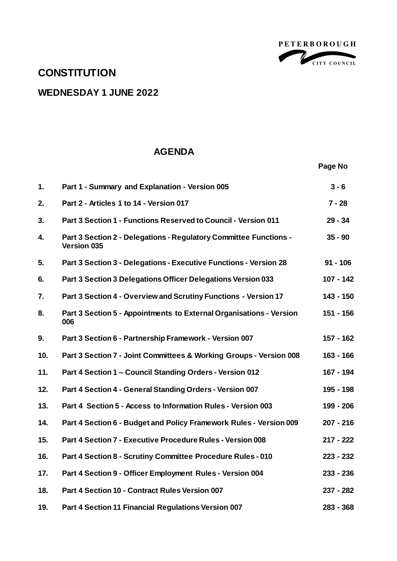

**Page No**

## **CONSTITUTION**

## **WEDNESDAY 1 JUNE 2022**

## **AGENDA**

| 1.  | Part 1 - Summary and Explanation - Version 005                                          | $3 - 6$     |
|-----|-----------------------------------------------------------------------------------------|-------------|
| 2.  | Part 2 - Articles 1 to 14 - Version 017                                                 | $7 - 28$    |
| 3.  | Part 3 Section 1 - Functions Reserved to Council - Version 011                          | $29 - 34$   |
| 4.  | Part 3 Section 2 - Delegations - Regulatory Committee Functions -<br><b>Version 035</b> | $35 - 90$   |
| 5.  | Part 3 Section 3 - Delegations - Executive Functions - Version 28                       | $91 - 106$  |
| 6.  | Part 3 Section 3 Delegations Officer Delegations Version 033                            | $107 - 142$ |
| 7.  | Part 3 Section 4 - Overview and Scrutiny Functions - Version 17                         | $143 - 150$ |
| 8.  | Part 3 Section 5 - Appointments to External Organisations - Version<br>006              | 151 - 156   |
| 9.  | Part 3 Section 6 - Partnership Framework - Version 007                                  | 157 - 162   |
| 10. | Part 3 Section 7 - Joint Committees & Working Groups - Version 008                      | $163 - 166$ |
| 11. | Part 4 Section 1 - Council Standing Orders - Version 012                                | 167 - 194   |
| 12. | Part 4 Section 4 - General Standing Orders - Version 007                                | 195 - 198   |
| 13. | Part 4 Section 5 - Access to Information Rules - Version 003                            | 199 - 206   |
| 14. | Part 4 Section 6 - Budget and Policy Framework Rules - Version 009                      | $207 - 216$ |
| 15. | Part 4 Section 7 - Executive Procedure Rules - Version 008                              | $217 - 222$ |
| 16. | Part 4 Section 8 - Scrutiny Committee Procedure Rules - 010                             | $223 - 232$ |
| 17. | Part 4 Section 9 - Officer Employment Rules - Version 004                               | $233 - 236$ |
| 18. | Part 4 Section 10 - Contract Rules Version 007                                          | 237 - 282   |
| 19. | Part 4 Section 11 Financial Regulations Version 007                                     | $283 - 368$ |